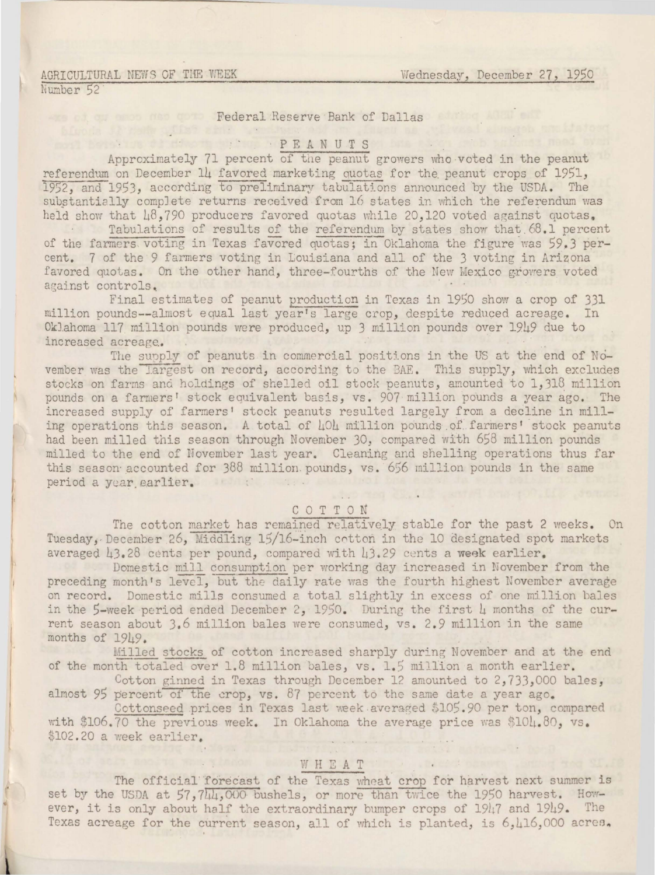## AGRICULTURAL NEWS OF THE WEEK Number 52

oda Ja radir odlas aktiv veri

# Federal Reserve Bank of Dallas

### **EXECUTE ANUTS PEANUTS IN THE REAL PEANUTS**

Approximately 71 percent of the peanut growers who voted in the peanut referendum on December 14 favored marketing quotas for the peanut crops of 1951. 1952, and 1953, according to preliminary tabulations announced by the USDA. The substantially complete returns received from 16 states in which the referendum was held show that 48,790 producers favored quotas while 20,120 voted against quotas.

Tabulations of results of the referendum by states show that 68.1 percent of the farmers voting in Texas favored quotas; in Oklahoma the figure was 59.3 percent. 7 of the 9 farmers voting in Louisiana and all of the 3 voting in Arizona favored quotas. On the other hand, three-fourths of the New Mexico growers voted against controls.

Final estimates of peanut production in Texas in 1950 show a crop of 331 million pounds--almost equal last year's large crop, despite reduced acreage. In Oklahoma 117 million pounds were produced, up 3 million pounds over 1949 due to increased acreage.

The supply of peanuts in commercial positions in the US at the end of November was the largest on record, according to the BAE. This supply, which excludes stocks on farms and holdings of shelled oil stock peanuts, amounted to 1,318 million pounds on a farmers' stock equivalent basis, vs. 907 million pounds a year ago. The increased supply of farmers' stock peanuts resulted largely from a decline in milling operations this season. A total of 404 million pounds of farmers' stock peanuts had been milled this season through November 30, compared with 658 million pounds milled to the end of November last year. Cleaning and shelling operations thus far this season accounted for 388 million pounds, vs. 656 million pounds in the same period a year earlier.

### COTTON

The cotton market has remained relatively stable for the past 2 weeks. On Tuesday, December 26, Middling 15/16-inch cotton in the 10 designated spot markets averaged 43.28 cents per pound, compared with 43.29 cents a week earlier.

Domestic mill consumption per working day increased in November from the preceding month's level, but the daily rate was the fourth highest November average on record. Domestic mills consumed a total slightly in excess of one million bales in the 5-week period ended December 2, 1950. During the first  $\mu$  months of the current season about 3.6 million bales were consumed, vs. 2.9 million in the same months of 1949.

Milled stocks of cotton increased sharply during November and at the end of the month totaled over 1.8 million bales, vs. 1.5 million a month earlier.

Cotton ginned in Texas through December 12 amounted to  $2,733,000$  bales, almost 95 percent of the crop, vs. 87 percent to the same date a year ago.

Cottonseed prices in Texas last week averaged \$105.90 per ton, compared with \$106.70 the previous week. In Oklahoma the average price was \$104.80, vs. \$102.20 a week earlier.

## WHEAT

The official forecast of the Texas wheat crop for harvest next summer is set by the USDA at 57,744,000 bushels, or more than twice the 1950 harvest. However, it is only about half the extraordinary bumper crops of 1947 and 1949. The Texas acreage for the current season, all of which is planted, is 6,416,000 acres.